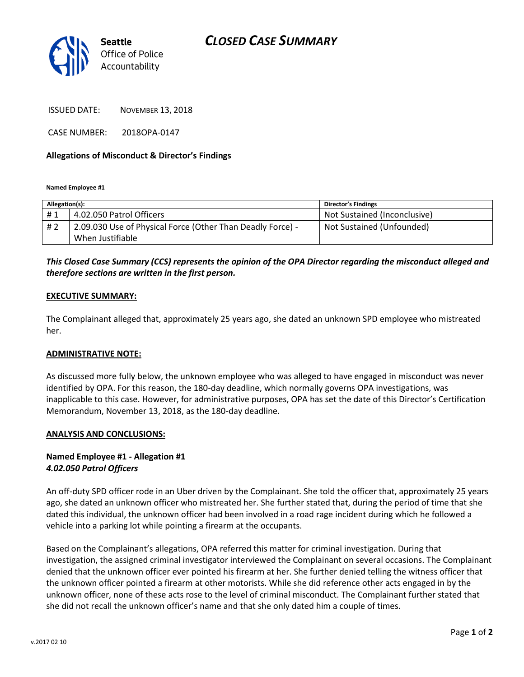



ISSUED DATE: NOVEMBER 13, 2018

CASE NUMBER: 2018OPA-0147

#### **Allegations of Misconduct & Director's Findings**

**Named Employee #1**

| Allegation(s): |                                                            | <b>Director's Findings</b>   |
|----------------|------------------------------------------------------------|------------------------------|
| #1             | 4.02.050 Patrol Officers                                   | Not Sustained (Inconclusive) |
| # 2            | 2.09.030 Use of Physical Force (Other Than Deadly Force) - | Not Sustained (Unfounded)    |
|                | When Justifiable                                           |                              |

## *This Closed Case Summary (CCS) represents the opinion of the OPA Director regarding the misconduct alleged and therefore sections are written in the first person.*

#### **EXECUTIVE SUMMARY:**

The Complainant alleged that, approximately 25 years ago, she dated an unknown SPD employee who mistreated her.

#### **ADMINISTRATIVE NOTE:**

As discussed more fully below, the unknown employee who was alleged to have engaged in misconduct was never identified by OPA. For this reason, the 180-day deadline, which normally governs OPA investigations, was inapplicable to this case. However, for administrative purposes, OPA has set the date of this Director's Certification Memorandum, November 13, 2018, as the 180-day deadline.

#### **ANALYSIS AND CONCLUSIONS:**

### **Named Employee #1 - Allegation #1** *4.02.050 Patrol Officers*

An off-duty SPD officer rode in an Uber driven by the Complainant. She told the officer that, approximately 25 years ago, she dated an unknown officer who mistreated her. She further stated that, during the period of time that she dated this individual, the unknown officer had been involved in a road rage incident during which he followed a vehicle into a parking lot while pointing a firearm at the occupants.

Based on the Complainant's allegations, OPA referred this matter for criminal investigation. During that investigation, the assigned criminal investigator interviewed the Complainant on several occasions. The Complainant denied that the unknown officer ever pointed his firearm at her. She further denied telling the witness officer that the unknown officer pointed a firearm at other motorists. While she did reference other acts engaged in by the unknown officer, none of these acts rose to the level of criminal misconduct. The Complainant further stated that she did not recall the unknown officer's name and that she only dated him a couple of times.